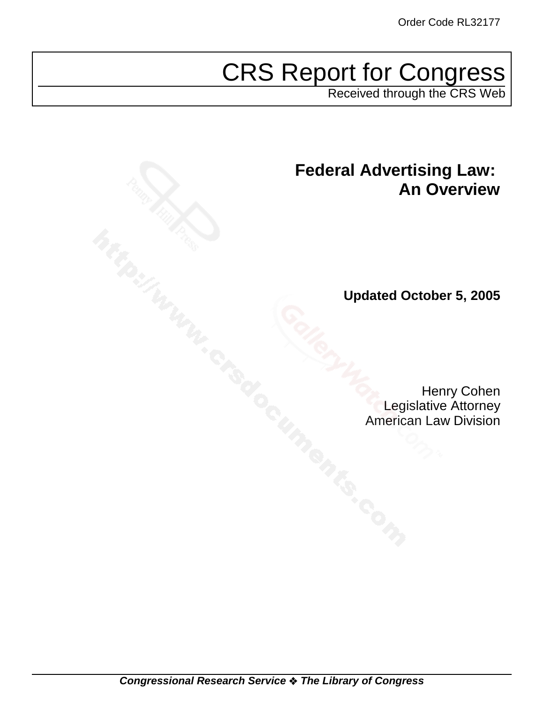# CRS Report for Congress

Received through the CRS Web

# **Federal Advertising Law: An Overview**

**Updated October 5, 2005**

Henry Cohen Legislative Attorney American Law Division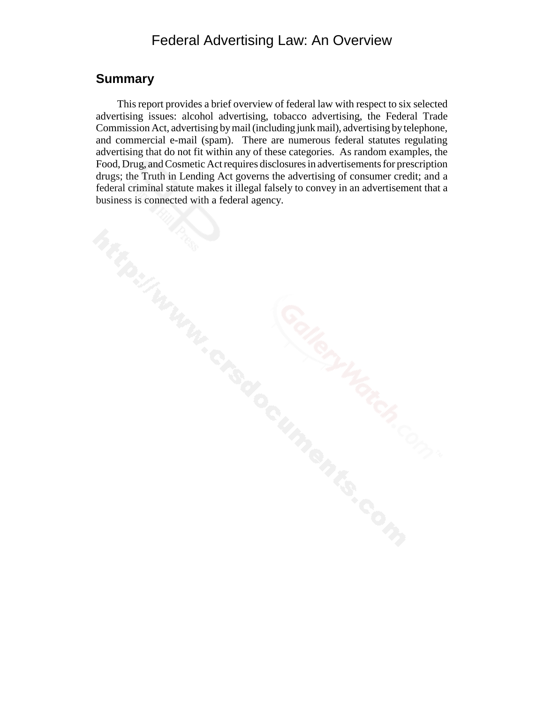### Federal Advertising Law: An Overview

#### **Summary**

This report provides a brief overview of federal law with respect to six selected advertising issues: alcohol advertising, tobacco advertising, the Federal Trade Commission Act, advertising by mail (including junk mail), advertising by telephone, and commercial e-mail (spam). There are numerous federal statutes regulating advertising that do not fit within any of these categories. As random examples, the Food, Drug, and Cosmetic Act requires disclosures in advertisements for prescription drugs; the Truth in Lending Act governs the advertising of consumer credit; and a federal criminal statute makes it illegal falsely to convey in an advertisement that a business is connected with a federal agency.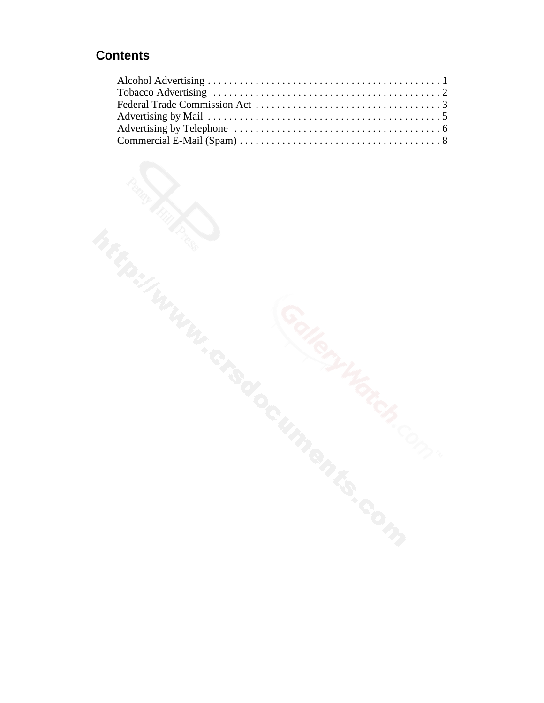### **Contents**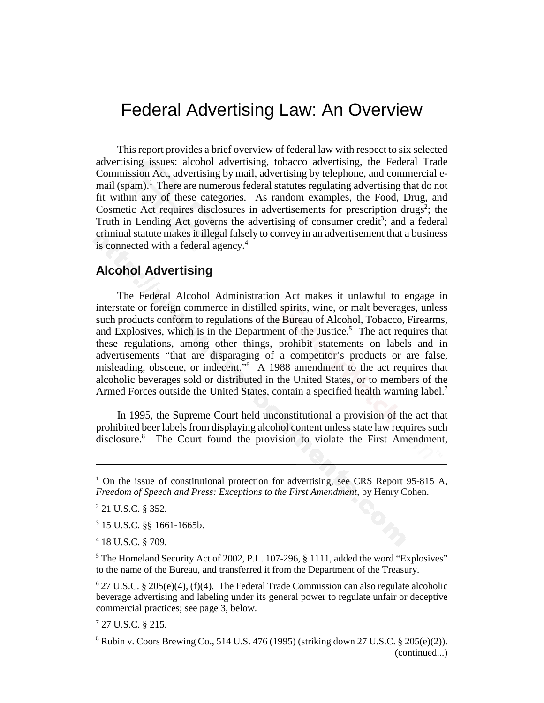## Federal Advertising Law: An Overview

This report provides a brief overview of federal law with respect to six selected advertising issues: alcohol advertising, tobacco advertising, the Federal Trade Commission Act, advertising by mail, advertising by telephone, and commercial email (spam).<sup>1</sup> There are numerous federal statutes regulating advertising that do not fit within any of these categories. As random examples, the Food, Drug, and Cosmetic Act requires disclosures in advertisements for prescription drugs<sup>2</sup>; the Truth in Lending Act governs the advertising of consumer credit<sup>3</sup>; and a federal criminal statute makes it illegal falsely to convey in an advertisement that a business is connected with a federal agency.<sup>4</sup>

#### **Alcohol Advertising**

The Federal Alcohol Administration Act makes it unlawful to engage in interstate or foreign commerce in distilled spirits, wine, or malt beverages, unless such products conform to regulations of the Bureau of Alcohol, Tobacco, Firearms, and Explosives, which is in the Department of the Justice.<sup>5</sup> The act requires that these regulations, among other things, prohibit statements on labels and in advertisements "that are disparaging of a competitor's products or are false, misleading, obscene, or indecent."6 A 1988 amendment to the act requires that alcoholic beverages sold or distributed in the United States, or to members of the Armed Forces outside the United States, contain a specified health warning label.<sup>7</sup>

In 1995, the Supreme Court held unconstitutional a provision of the act that prohibited beer labels from displaying alcohol content unless state law requires such disclosure.<sup>8</sup> The Court found the provision to violate the First Amendment,

4 18 U.S.C. § 709.

<sup>&</sup>lt;sup>1</sup> On the issue of constitutional protection for advertising, see CRS Report 95-815 A, *Freedom of Speech and Press: Exceptions to the First Amendment*, by Henry Cohen.

<sup>2</sup> 21 U.S.C. § 352.

<sup>3</sup> 15 U.S.C. §§ 1661-1665b.

<sup>&</sup>lt;sup>5</sup> The Homeland Security Act of 2002, P.L. 107-296, § 1111, added the word "Explosives" to the name of the Bureau, and transferred it from the Department of the Treasury.

 $6$  27 U.S.C. § 205(e)(4), (f)(4). The Federal Trade Commission can also regulate alcoholic beverage advertising and labeling under its general power to regulate unfair or deceptive commercial practices; see page 3, below.

<sup>7</sup> 27 U.S.C. § 215.

<sup>8</sup> Rubin v. Coors Brewing Co., 514 U.S. 476 (1995) (striking down 27 U.S.C. § 205(e)(2)). (continued...)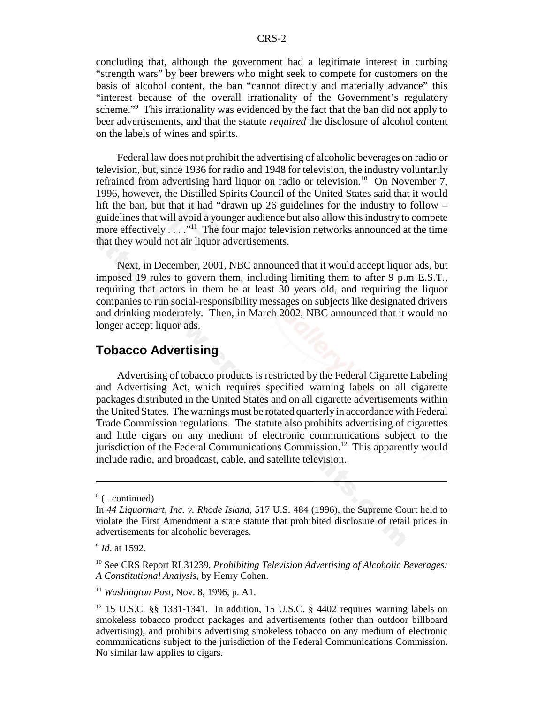concluding that, although the government had a legitimate interest in curbing "strength wars" by beer brewers who might seek to compete for customers on the basis of alcohol content, the ban "cannot directly and materially advance" this "interest because of the overall irrationality of the Government's regulatory scheme."<sup>9</sup> This irrationality was evidenced by the fact that the ban did not apply to beer advertisements, and that the statute *required* the disclosure of alcohol content on the labels of wines and spirits.

Federal law does not prohibit the advertising of alcoholic beverages on radio or television, but, since 1936 for radio and 1948 for television, the industry voluntarily refrained from advertising hard liquor on radio or television.<sup>10</sup> On November 7, 1996, however, the Distilled Spirits Council of the United States said that it would lift the ban, but that it had "drawn up 26 guidelines for the industry to follow – guidelines that will avoid a younger audience but also allow this industry to compete more effectively . . . ."<sup>11</sup> The four major television networks announced at the time that they would not air liquor advertisements.

Next, in December, 2001, NBC announced that it would accept liquor ads, but imposed 19 rules to govern them, including limiting them to after 9 p.m E.S.T., requiring that actors in them be at least 30 years old, and requiring the liquor companies to run social-responsibility messages on subjects like designated drivers and drinking moderately. Then, in March 2002, NBC announced that it would no longer accept liquor ads.

#### **Tobacco Advertising**

Advertising of tobacco products is restricted by the Federal Cigarette Labeling and Advertising Act, which requires specified warning labels on all cigarette packages distributed in the United States and on all cigarette advertisements within the United States. The warnings must be rotated quarterly in accordance with Federal Trade Commission regulations. The statute also prohibits advertising of cigarettes and little cigars on any medium of electronic communications subject to the jurisdiction of the Federal Communications Commission.<sup>12</sup> This apparently would include radio, and broadcast, cable, and satellite television.

<sup>8</sup> (...continued)

In *44 Liquormart, Inc. v. Rhode Island*, 517 U.S. 484 (1996), the Supreme Court held to violate the First Amendment a state statute that prohibited disclosure of retail prices in advertisements for alcoholic beverages.

<sup>9</sup> *Id*. at 1592.

<sup>10</sup> See CRS Report RL31239, *Prohibiting Television Advertising of Alcoholic Beverages: A Constitutional Analysis*, by Henry Cohen.

<sup>11</sup> *Washington Post*, Nov. 8, 1996, p. A1.

 $12$  15 U.S.C. §§ 1331-1341. In addition, 15 U.S.C. § 4402 requires warning labels on smokeless tobacco product packages and advertisements (other than outdoor billboard advertising), and prohibits advertising smokeless tobacco on any medium of electronic communications subject to the jurisdiction of the Federal Communications Commission. No similar law applies to cigars.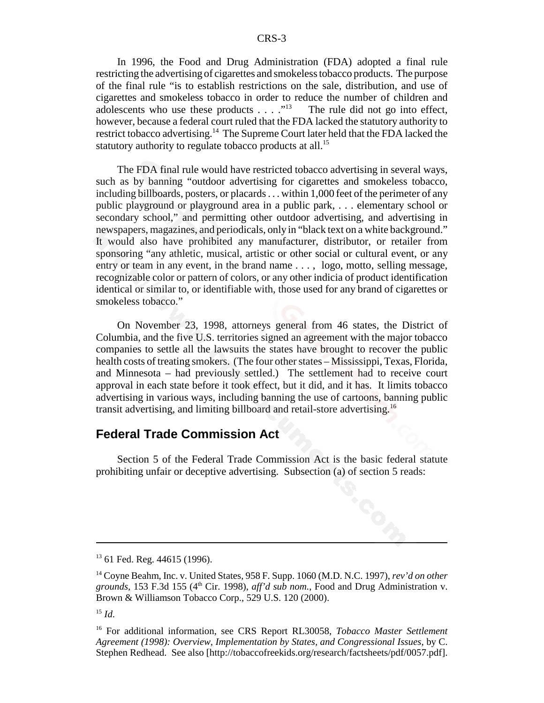In 1996, the Food and Drug Administration (FDA) adopted a final rule restricting the advertising of cigarettes and smokeless tobacco products. The purpose of the final rule "is to establish restrictions on the sale, distribution, and use of cigarettes and smokeless tobacco in order to reduce the number of children and adolescents who use these products  $\dots$  ."<sup>13</sup> The rule did not go into effect, however, because a federal court ruled that the FDA lacked the statutory authority to restrict tobacco advertising.14 The Supreme Court later held that the FDA lacked the statutory authority to regulate tobacco products at all.<sup>15</sup>

The FDA final rule would have restricted tobacco advertising in several ways, such as by banning "outdoor advertising for cigarettes and smokeless tobacco, including billboards, posters, or placards . . . within 1,000 feet of the perimeter of any public playground or playground area in a public park, . . . elementary school or secondary school," and permitting other outdoor advertising, and advertising in newspapers, magazines, and periodicals, only in "black text on a white background." It would also have prohibited any manufacturer, distributor, or retailer from sponsoring "any athletic, musical, artistic or other social or cultural event, or any entry or team in any event, in the brand name . . . , logo, motto, selling message, recognizable color or pattern of colors, or any other indicia of product identification identical or similar to, or identifiable with, those used for any brand of cigarettes or smokeless tobacco."

On November 23, 1998, attorneys general from 46 states, the District of Columbia, and the five U.S. territories signed an agreement with the major tobacco companies to settle all the lawsuits the states have brought to recover the public health costs of treating smokers. (The four other states – Mississippi, Texas, Florida, and Minnesota – had previously settled.) The settlement had to receive court approval in each state before it took effect, but it did, and it has. It limits tobacco advertising in various ways, including banning the use of cartoons, banning public transit advertising, and limiting billboard and retail-store advertising.<sup>16</sup>

#### **Federal Trade Commission Act**

Section 5 of the Federal Trade Commission Act is the basic federal statute prohibiting unfair or deceptive advertising. Subsection (a) of section 5 reads:

<sup>&</sup>lt;sup>13</sup> 61 Fed. Reg. 44615 (1996).

<sup>14</sup> Coyne Beahm, Inc. v. United States, 958 F. Supp. 1060 (M.D. N.C. 1997), *rev'd on other grounds*, 153 F.3d 155 (4th Cir. 1998), *aff'd sub nom.*, Food and Drug Administration v. Brown & Williamson Tobacco Corp., 529 U.S. 120 (2000).

 $^{15}$  *Id.* 

<sup>16</sup> For additional information, see CRS Report RL30058, *Tobacco Master Settlement Agreement (1998): Overview, Implementation by States, and Congressional Issues*, by C. Stephen Redhead. See also [http://tobaccofreekids.org/research/factsheets/pdf/0057.pdf].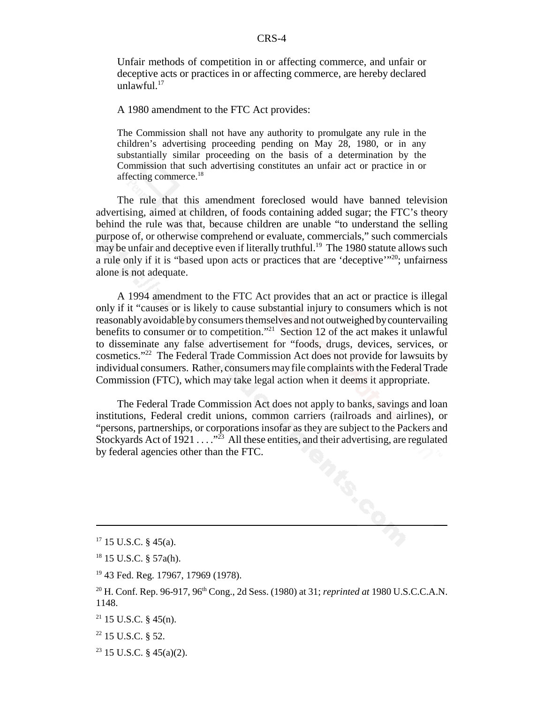Unfair methods of competition in or affecting commerce, and unfair or deceptive acts or practices in or affecting commerce, are hereby declared unlawful. $17$ 

A 1980 amendment to the FTC Act provides:

The Commission shall not have any authority to promulgate any rule in the children's advertising proceeding pending on May 28, 1980, or in any substantially similar proceeding on the basis of a determination by the Commission that such advertising constitutes an unfair act or practice in or affecting commerce.<sup>18</sup>

The rule that this amendment foreclosed would have banned television advertising, aimed at children, of foods containing added sugar; the FTC's theory behind the rule was that, because children are unable "to understand the selling purpose of, or otherwise comprehend or evaluate, commercials," such commercials may be unfair and deceptive even if literally truthful.<sup>19</sup> The 1980 statute allows such a rule only if it is "based upon acts or practices that are 'deceptive'"20; unfairness alone is not adequate.

A 1994 amendment to the FTC Act provides that an act or practice is illegal only if it "causes or is likely to cause substantial injury to consumers which is not reasonably avoidable by consumers themselves and not outweighed by countervailing benefits to consumer or to competition."21 Section 12 of the act makes it unlawful to disseminate any false advertisement for "foods, drugs, devices, services, or cosmetics."22 The Federal Trade Commission Act does not provide for lawsuits by individual consumers. Rather, consumers may file complaints with the Federal Trade Commission (FTC), which may take legal action when it deems it appropriate.

The Federal Trade Commission Act does not apply to banks, savings and loan institutions, Federal credit unions, common carriers (railroads and airlines), or "persons, partnerships, or corporations insofar as they are subject to the Packers and Stockyards Act of  $1921 \ldots$ ."<sup>23</sup> All these entities, and their advertising, are regulated by federal agencies other than the FTC.

 $23$  15 U.S.C. § 45(a)(2).

 $17$  15 U.S.C. § 45(a).

<sup>18 15</sup> U.S.C. § 57a(h).

<sup>19 43</sup> Fed. Reg. 17967, 17969 (1978).

<sup>&</sup>lt;sup>20</sup> H. Conf. Rep. 96-917, 96<sup>th</sup> Cong., 2d Sess. (1980) at 31; *reprinted at* 1980 U.S.C.C.A.N. 1148.

 $21$  15 U.S.C. § 45(n).

 $22$  15 U.S.C.  $8$  52.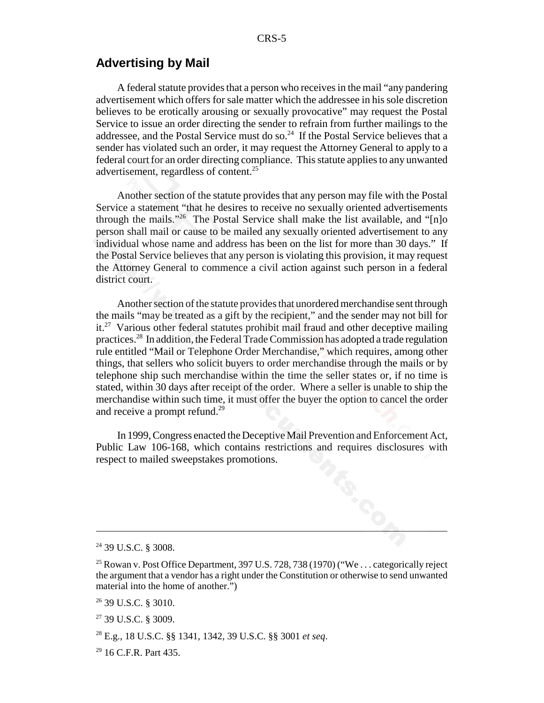#### **Advertising by Mail**

A federal statute provides that a person who receives in the mail "any pandering advertisement which offers for sale matter which the addressee in his sole discretion believes to be erotically arousing or sexually provocative" may request the Postal Service to issue an order directing the sender to refrain from further mailings to the addressee, and the Postal Service must do so.<sup>24</sup> If the Postal Service believes that a sender has violated such an order, it may request the Attorney General to apply to a federal court for an order directing compliance. This statute applies to any unwanted advertisement, regardless of content.<sup>25</sup>

Another section of the statute provides that any person may file with the Postal Service a statement "that he desires to receive no sexually oriented advertisements through the mails."<sup>26</sup> The Postal Service shall make the list available, and " $[n]$ <sup>o</sup> person shall mail or cause to be mailed any sexually oriented advertisement to any individual whose name and address has been on the list for more than 30 days." If the Postal Service believes that any person is violating this provision, it may request the Attorney General to commence a civil action against such person in a federal district court.

Another section of the statute provides that unordered merchandise sent through the mails "may be treated as a gift by the recipient," and the sender may not bill for it.27 Various other federal statutes prohibit mail fraud and other deceptive mailing practices.28 In addition, the Federal Trade Commission has adopted a trade regulation rule entitled "Mail or Telephone Order Merchandise," which requires, among other things, that sellers who solicit buyers to order merchandise through the mails or by telephone ship such merchandise within the time the seller states or, if no time is stated, within 30 days after receipt of the order. Where a seller is unable to ship the merchandise within such time, it must offer the buyer the option to cancel the order and receive a prompt refund.<sup>29</sup>

In 1999, Congress enacted the Deceptive Mail Prevention and Enforcement Act, Public Law 106-168, which contains restrictions and requires disclosures with respect to mailed sweepstakes promotions.

<sup>24 39</sup> U.S.C. § 3008.

<sup>&</sup>lt;sup>25</sup> Rowan v. Post Office Department, 397 U.S. 728, 738 (1970) ("We . . . categorically reject the argument that a vendor has a right under the Constitution or otherwise to send unwanted material into the home of another.")

<sup>26 39</sup> U.S.C. § 3010.

<sup>27 39</sup> U.S.C. § 3009.

<sup>28</sup> E.g., 18 U.S.C. §§ 1341, 1342, 39 U.S.C. §§ 3001 *et seq*.

<sup>29 16</sup> C.F.R. Part 435.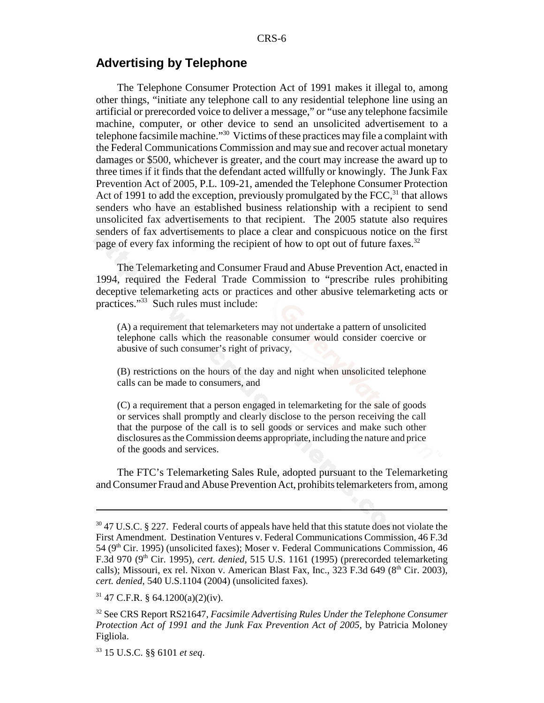#### **Advertising by Telephone**

The Telephone Consumer Protection Act of 1991 makes it illegal to, among other things, "initiate any telephone call to any residential telephone line using an artificial or prerecorded voice to deliver a message," or "use any telephone facsimile machine, computer, or other device to send an unsolicited advertisement to a telephone facsimile machine."30 Victims of these practices may file a complaint with the Federal Communications Commission and may sue and recover actual monetary damages or \$500, whichever is greater, and the court may increase the award up to three times if it finds that the defendant acted willfully or knowingly. The Junk Fax Prevention Act of 2005, P.L. 109-21, amended the Telephone Consumer Protection Act of 1991 to add the exception, previously promulgated by the  $FCC$ <sup>31</sup>, that allows senders who have an established business relationship with a recipient to send unsolicited fax advertisements to that recipient. The 2005 statute also requires senders of fax advertisements to place a clear and conspicuous notice on the first page of every fax informing the recipient of how to opt out of future faxes.<sup>32</sup>

The Telemarketing and Consumer Fraud and Abuse Prevention Act, enacted in 1994, required the Federal Trade Commission to "prescribe rules prohibiting deceptive telemarketing acts or practices and other abusive telemarketing acts or practices."33 Such rules must include:

(A) a requirement that telemarketers may not undertake a pattern of unsolicited telephone calls which the reasonable consumer would consider coercive or abusive of such consumer's right of privacy,

(B) restrictions on the hours of the day and night when unsolicited telephone calls can be made to consumers, and

(C) a requirement that a person engaged in telemarketing for the sale of goods or services shall promptly and clearly disclose to the person receiving the call that the purpose of the call is to sell goods or services and make such other disclosures as the Commission deems appropriate, including the nature and price of the goods and services.

The FTC's Telemarketing Sales Rule, adopted pursuant to the Telemarketing and Consumer Fraud and Abuse Prevention Act, prohibits telemarketers from, among

<sup>&</sup>lt;sup>30</sup> 47 U.S.C. § 227. Federal courts of appeals have held that this statute does not violate the First Amendment. Destination Ventures v. Federal Communications Commission, 46 F.3d  $54$  ( $9<sup>th</sup>$  Cir. 1995) (unsolicited faxes); Moser v. Federal Communications Commission, 46 F.3d 970 (9<sup>th</sup> Cir. 1995), *cert. denied*, 515 U.S. 1161 (1995) (prerecorded telemarketing calls); Missouri, ex rel. Nixon v. American Blast Fax, Inc., 323 F.3d 649 ( $8<sup>th</sup>$  Cir. 2003), *cert. denied*, 540 U.S.1104 (2004) (unsolicited faxes).

 $31$  47 C.F.R. § 64.1200(a)(2)(iv).

<sup>32</sup> See CRS Report RS21647, *Facsimile Advertising Rules Under the Telephone Consumer Protection Act of 1991 and the Junk Fax Prevention Act of 2005*, by Patricia Moloney Figliola.

<sup>33 15</sup> U.S.C. §§ 6101 *et seq*.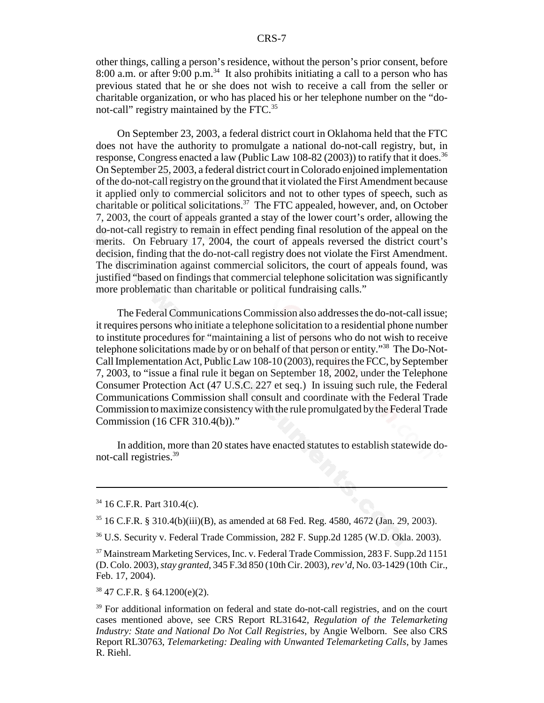other things, calling a person's residence, without the person's prior consent, before 8:00 a.m. or after 9:00 p.m.<sup>34</sup> It also prohibits initiating a call to a person who has previous stated that he or she does not wish to receive a call from the seller or charitable organization, or who has placed his or her telephone number on the "donot-call" registry maintained by the FTC.<sup>35</sup>

On September 23, 2003, a federal district court in Oklahoma held that the FTC does not have the authority to promulgate a national do-not-call registry, but, in response, Congress enacted a law (Public Law 108-82 (2003)) to ratify that it does.<sup>36</sup> On September 25, 2003, a federal district court in Colorado enjoined implementation of the do-not-call registry on the ground that it violated the First Amendment because it applied only to commercial solicitors and not to other types of speech, such as charitable or political solicitations.<sup>37</sup> The FTC appealed, however, and, on October 7, 2003, the court of appeals granted a stay of the lower court's order, allowing the do-not-call registry to remain in effect pending final resolution of the appeal on the merits. On February 17, 2004, the court of appeals reversed the district court's decision, finding that the do-not-call registry does not violate the First Amendment. The discrimination against commercial solicitors, the court of appeals found, was justified "based on findings that commercial telephone solicitation was significantly more problematic than charitable or political fundraising calls."

The Federal Communications Commission also addresses the do-not-call issue; it requires persons who initiate a telephone solicitation to a residential phone number to institute procedures for "maintaining a list of persons who do not wish to receive telephone solicitations made by or on behalf of that person or entity."38 The Do-Not-Call Implementation Act, Public Law 108-10 (2003), requires the FCC, by September 7, 2003, to "issue a final rule it began on September 18, 2002, under the Telephone Consumer Protection Act (47 U.S.C. 227 et seq.) In issuing such rule, the Federal Communications Commission shall consult and coordinate with the Federal Trade Commission to maximize consistency with the rule promulgated by the Federal Trade Commission (16 CFR 310.4(b))."

In addition, more than 20 states have enacted statutes to establish statewide donot-call registries.39

36 U.S. Security v. Federal Trade Commission, 282 F. Supp.2d 1285 (W.D. Okla. 2003).

38 47 C.F.R. § 64.1200(e)(2).

<sup>34 16</sup> C.F.R. Part 310.4(c).

<sup>35 16</sup> C.F.R. § 310.4(b)(iii)(B), as amended at 68 Fed. Reg. 4580, 4672 (Jan. 29, 2003).

<sup>37</sup> Mainstream Marketing Services, Inc. v. Federal Trade Commission, 283 F. Supp.2d 1151 (D. Colo. 2003), *stay granted*, 345 F.3d 850 (10th Cir. 2003), *rev'd*, No. 03-1429 (10th Cir., Feb. 17, 2004).

<sup>&</sup>lt;sup>39</sup> For additional information on federal and state do-not-call registries, and on the court cases mentioned above, see CRS Report RL31642, *Regulation of the Telemarketing Industry: State and National Do Not Call Registries*, by Angie Welborn. See also CRS Report RL30763, *Telemarketing: Dealing with Unwanted Telemarketing Calls*, by James R. Riehl.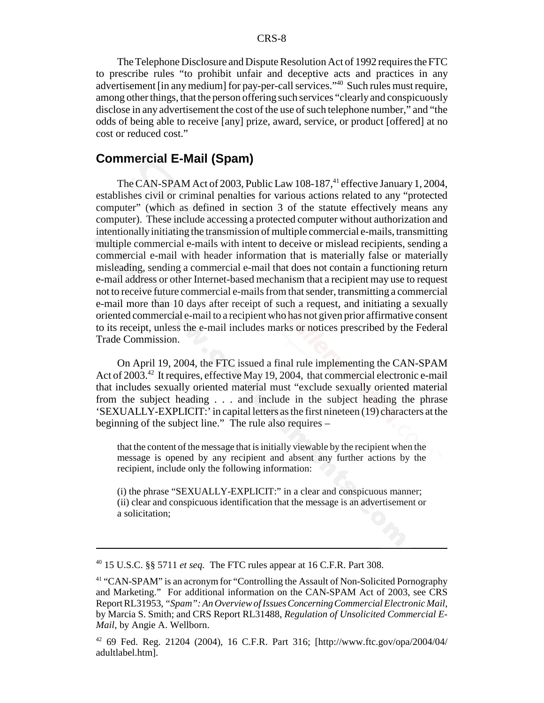The Telephone Disclosure and Dispute Resolution Act of 1992 requires the FTC to prescribe rules "to prohibit unfair and deceptive acts and practices in any advertisement [in any medium] for pay-per-call services.<sup>140</sup> Such rules must require, among other things, that the person offering such services "clearly and conspicuously disclose in any advertisement the cost of the use of such telephone number," and "the odds of being able to receive [any] prize, award, service, or product [offered] at no cost or reduced cost."

#### **Commercial E-Mail (Spam)**

The CAN-SPAM Act of 2003, Public Law 108-187,<sup>41</sup> effective January 1, 2004, establishes civil or criminal penalties for various actions related to any "protected computer" (which as defined in section 3 of the statute effectively means any computer). These include accessing a protected computer without authorization and intentionally initiating the transmission of multiple commercial e-mails, transmitting multiple commercial e-mails with intent to deceive or mislead recipients, sending a commercial e-mail with header information that is materially false or materially misleading, sending a commercial e-mail that does not contain a functioning return e-mail address or other Internet-based mechanism that a recipient may use to request not to receive future commercial e-mails from that sender, transmitting a commercial e-mail more than 10 days after receipt of such a request, and initiating a sexually oriented commercial e-mail to a recipient who has not given prior affirmative consent to its receipt, unless the e-mail includes marks or notices prescribed by the Federal Trade Commission.

On April 19, 2004, the FTC issued a final rule implementing the CAN-SPAM Act of 2003.<sup>42</sup> It requires, effective May 19, 2004, that commercial electronic e-mail that includes sexually oriented material must "exclude sexually oriented material from the subject heading . . . and include in the subject heading the phrase 'SEXUALLY-EXPLICIT:' in capital letters as the first nineteen (19) characters at the beginning of the subject line." The rule also requires –

that the content of the message that is initially viewable by the recipient when the message is opened by any recipient and absent any further actions by the recipient, include only the following information:

(i) the phrase "SEXUALLY-EXPLICIT:" in a clear and conspicuous manner; (ii) clear and conspicuous identification that the message is an advertisement or a solicitation;

<sup>40 15</sup> U.S.C. §§ 5711 *et seq.* The FTC rules appear at 16 C.F.R. Part 308.

<sup>&</sup>lt;sup>41</sup> "CAN-SPAM" is an acronym for "Controlling the Assault of Non-Solicited Pornography and Marketing." For additional information on the CAN-SPAM Act of 2003, see CRS Report RL31953, *"Spam": An Overview of Issues Concerning Commercial Electronic Mail*, by Marcia S. Smith; and CRS Report RL31488, *Regulation of Unsolicited Commercial E-Mail*, by Angie A. Wellborn.

<sup>42 69</sup> Fed. Reg. 21204 (2004), 16 C.F.R. Part 316; [http://www.ftc.gov/opa/2004/04/ adultlabel.htm].